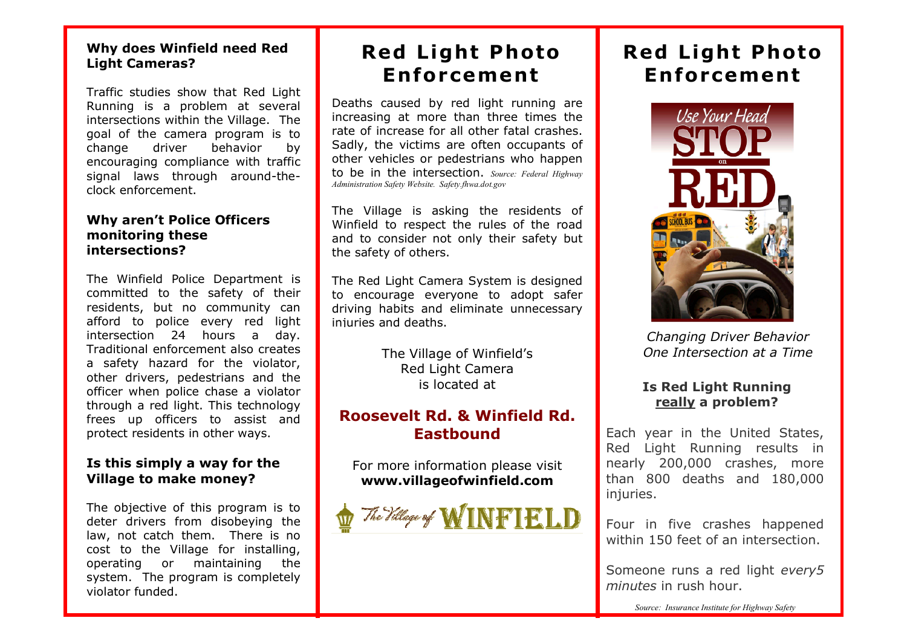## **Why does Winfield need Red Light Cameras?**

Traffic studies show that Red Light Running is a problem at several intersections within the Village. The goal of the camera program is to change driver behavior by encouraging compliance with traffic signal laws through around-theclock enforcement.

## **Why aren't Police Officers monitoring these intersections?**

The Winfield Police Department is committed to the safety of their residents, but no community can afford to police every red light intersection 24 hours a day. Traditional enforcement also creates a safety hazard for the violator, other drivers, pedestrians and the officer when police chase a violator through a red light. This technology frees up officers to assist and protect residents in other ways.

## **Is this simply a way for the Village to make money?**

The objective of this program is to deter drivers from disobeying the law, not catch them. There is no cost to the Village for installing, operating or maintaining the system. The program is completely violator funded.

# **Red Light Photo En for cement**

Deaths caused by red light running are increasing at more than three times the rate of increase for all other fatal crashes. Sadly, the victims are often occupants of other vehicles or pedestrians who happen to be in the intersection. *Source: Federal Highway Administration Safety Website. Safety.fhwa.dot.gov*

The Village is asking the residents of Winfield to respect the rules of the road and to consider not only their safety but the safety of others.

The Red Light Camera System is designed to encourage everyone to adopt safer driving habits and eliminate unnecessary injuries and deaths.

> The Village of Winfield's Red Light Camera is located at

## **Roosevelt Rd. & Winfield Rd. Eastbound**

For more information please visit **www.villageofwinfield.com**



# **Red Light Photo En forcement**



*Changing Driver Behavior One Intersection at a Time*

## **Is Red Light Running really a problem?**

Each year in the United States, Red Light Running results in nearly 200,000 crashes, more than 800 deaths and 180,000 injuries.

Four in five crashes happened within 150 feet of an intersection.

Someone runs a red light *every5 minutes* in rush hour.